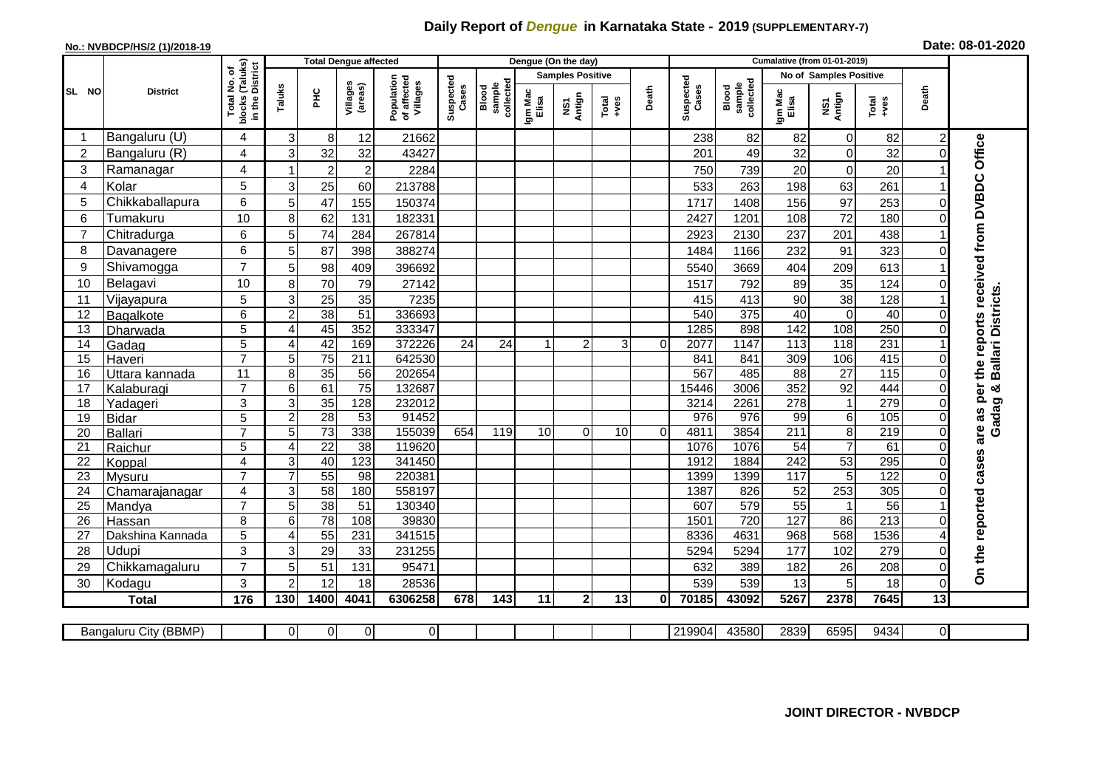## **Daily Report of** *Dengue* **in Karnataka State - 2019 (SUPPLEMENTARY-7)**

## **No.: NVBDCP/HS/2 (1)/2018-19 Date: 08-01-2020**

|                                                                                                                     | <b>District</b>  |                                               | <b>Total Dengue affected</b> |                 |                     |                                       |                    |                              |                         | Dengue (On the day) |                 |          |                    |                              |                        |                 |                  |                |                          |
|---------------------------------------------------------------------------------------------------------------------|------------------|-----------------------------------------------|------------------------------|-----------------|---------------------|---------------------------------------|--------------------|------------------------------|-------------------------|---------------------|-----------------|----------|--------------------|------------------------------|------------------------|-----------------|------------------|----------------|--------------------------|
|                                                                                                                     |                  | (Taluks)<br>৳                                 |                              |                 |                     |                                       |                    | collected<br>sample<br>Blood | <b>Samples Positive</b> |                     |                 |          |                    |                              | No of Samples Positive |                 |                  |                |                          |
| SL NO                                                                                                               |                  | in the District<br>Total No.<br><b>blocks</b> | Taluks                       | PHC             | Villages<br>(areas) | Population<br>of affected<br>Villages | Suspected<br>Cases |                              | Igm Mac<br>Elisa        | Antign<br>Σñ        | Total<br>$-ves$ | Death    | Suspected<br>Cases | Blood<br>sample<br>collected | Igm Mac<br>Elisa       | NS1<br>Antign   | Total<br>+ves    | Death          |                          |
|                                                                                                                     | Bangaluru (U)    | 4                                             | $\overline{3}$               | 8               | 12                  | 21662                                 |                    |                              |                         |                     |                 |          | 238                | 82                           | 82                     | $\Omega$        | 82               | $\overline{c}$ |                          |
| 2                                                                                                                   | Bangaluru (R)    | 4                                             | 3                            | 32              | 32                  | 43427                                 |                    |                              |                         |                     |                 |          | 201                | 49                           | 32                     | $\Omega$        | 32               |                | Office                   |
| 3                                                                                                                   | Ramanagar        | 4                                             |                              | $\overline{2}$  | $\overline{2}$      | 2284                                  |                    |                              |                         |                     |                 |          | 750                | 739                          | 20                     | $\Omega$        | 20               |                |                          |
| $\overline{4}$                                                                                                      | Kolar            | 5                                             | 3                            | 25              | 60                  | 213788                                |                    |                              |                         |                     |                 |          | 533                | 263                          | 198                    | 63              | 261              |                |                          |
| 5                                                                                                                   | Chikkaballapura  | 6                                             | 5                            | 47              | 155                 | 150374                                |                    |                              |                         |                     |                 |          | 1717               | 1408                         | 156                    | 97              | 253              |                |                          |
| 6                                                                                                                   | Tumakuru         | 10                                            | 8                            | 62              | 131                 | 182331                                |                    |                              |                         |                     |                 |          | 2427               | 1201                         | 108                    | 72              | 180              |                |                          |
| $\overline{7}$                                                                                                      | Chitradurga      | 6                                             | 5                            | 74              | 284                 | 267814                                |                    |                              |                         |                     |                 |          | 2923               | 2130                         | 237                    | 201             | 438              |                |                          |
| 8                                                                                                                   | Davanagere       | 6                                             | 5                            | 87              | 398                 | 388274                                |                    |                              |                         |                     |                 |          | 1484               | 1166                         | 232                    | 91              | 323              |                |                          |
| 9                                                                                                                   | Shivamogga       | $\overline{7}$                                | 5                            | 98              | 409                 | 396692                                |                    |                              |                         |                     |                 |          | 5540               | 3669                         | 404                    | 209             | 613              |                | received from DVBDC      |
| 10                                                                                                                  | Belagavi         | 10                                            | 8                            | 70              | 79                  | 27142                                 |                    |                              |                         |                     |                 |          | 1517               | 792                          | 89                     | 35              | 124              |                |                          |
| 11                                                                                                                  | Vijayapura       | 5                                             | 3                            | 25              | 35                  | 7235                                  |                    |                              |                         |                     |                 |          | 415                | 413                          | 90                     | 38              | 128              |                | <b>Ballari Districts</b> |
| 12                                                                                                                  | Bagalkote        | 6                                             | $\overline{2}$               | 38              | $\overline{51}$     | 336693                                |                    |                              |                         |                     |                 |          | 540                | 375                          | 40                     | $\Omega$        | 40               |                |                          |
| 13                                                                                                                  | Dharwada         | $\overline{5}$                                | 4                            | $\overline{45}$ | 352                 | 333347                                |                    |                              |                         |                     |                 |          | 1285               | 898                          | $\overline{142}$       | 108             | 250              | $\Omega$       | reports                  |
| 14                                                                                                                  | Gadag            | $\overline{5}$                                | 4                            | 42              | 169                 | 372226                                | 24                 | 24                           | 1                       | $\overline{2}$      | 3               | $\Omega$ | 2077               | 1147                         | 113                    | 118             | 231              |                |                          |
| 15                                                                                                                  | Haveri           | $\overline{7}$                                | 5                            | 75              | 211                 | 642530                                |                    |                              |                         |                     |                 |          | 841                | 841                          | 309                    | 106             | 415              | 0              |                          |
| 16                                                                                                                  | Uttara kannada   | 11                                            | 8                            | 35              | 56                  | 202654                                |                    |                              |                         |                     |                 |          | 567                | 485                          | 88                     | $\overline{27}$ | 115              | $\Omega$       | the                      |
| 17                                                                                                                  | Kalaburagi       | $\overline{7}$                                | 6                            | 61              | $\overline{75}$     | 132687                                |                    |                              |                         |                     |                 |          | 15446              | 3006                         | 352                    | 92              | 444              | $\Omega$       | per                      |
| 18                                                                                                                  | Yadageri         | 3                                             | $\overline{3}$               | 35              | 128                 | 232012                                |                    |                              |                         |                     |                 |          | 3214               | 2261                         | 278                    | 1               | 279              | $\Omega$       | Gadag &<br>w             |
| 19                                                                                                                  | <b>Bidar</b>     | $\overline{5}$                                | $\overline{2}$               | 28              | 53                  | 91452                                 |                    |                              |                         |                     |                 |          | 976                | 976                          | 99                     | $6\phantom{a}$  | 105              | $\Omega$       | æ                        |
| 20                                                                                                                  | Ballari          | $\overline{7}$                                | 5                            | 73              | 338                 | 155039                                | 654                | 119                          | 10                      | $\Omega$            | 10              | $\Omega$ | 4811               | 3854                         | 211                    | 8               | 219              | $\Omega$       | are                      |
| 21                                                                                                                  | Raichur          | 5                                             | 4                            | 22              | $\overline{38}$     | 119620                                |                    |                              |                         |                     |                 |          | 1076               | 1076                         | 54                     | $\overline{7}$  | 61               | $\Omega$       |                          |
| 22                                                                                                                  | Koppal           | 4                                             | 3                            | 40              | 123                 | 341450                                |                    |                              |                         |                     |                 |          | 1912               | 1884                         | 242                    | 53              | 295              | $\Omega$       | cases                    |
| 23                                                                                                                  | <b>Mysuru</b>    | $\overline{7}$                                |                              | 55              | 98                  | 220381                                |                    |                              |                         |                     |                 |          | 1399               | 1399                         | 117                    | 5 <sup>1</sup>  | 122              | 0              |                          |
| 24                                                                                                                  | Chamarajanagar   | 4                                             | 3                            | 58              | 180                 | 558197                                |                    |                              |                         |                     |                 |          | 1387               | 826                          | 52                     | 253             | 305              | $\Omega$       |                          |
| 25                                                                                                                  | Mandya           | $\overline{7}$                                | 5                            | 38              | $\overline{51}$     | 130340                                |                    |                              |                         |                     |                 |          | 607                | 579                          | 55                     |                 | 56               |                |                          |
| 26                                                                                                                  | Hassan           | 8                                             | 6                            | $\overline{78}$ | 108                 | 39830                                 |                    |                              |                         |                     |                 |          | 1501               | 720                          | 127                    | 86              | $\overline{213}$ | 0              |                          |
| 27                                                                                                                  | Dakshina Kannada | 5                                             | 4                            | 55              | 231                 | 341515                                |                    |                              |                         |                     |                 |          | 8336               | 4631                         | 968                    | 568             | 1536             |                |                          |
| 28                                                                                                                  | Udupi            | 3                                             | 3                            | 29              | 33                  | 231255                                |                    |                              |                         |                     |                 |          | 5294               | 5294                         | 177                    | 102             | 279              | 0              |                          |
| 29                                                                                                                  | Chikkamagaluru   | $\overline{7}$                                | 5                            | 51              | 131                 | 95471                                 |                    |                              |                         |                     |                 |          | 632                | 389                          | 182                    | 26              | 208              | $\Omega$       | On the reported          |
| 30                                                                                                                  | Kodagu           | 3                                             | $\overline{2}$               | 12              | 18                  | 28536                                 |                    |                              |                         |                     |                 |          | 539                | 539                          | 13                     | 5               | 18               | 0              |                          |
|                                                                                                                     | <b>Total</b>     | 176                                           | 130                          | 1400            | 4041                | 6306258                               | 678                | 143                          | 11                      | $\boldsymbol{2}$    | 13              | 0l       | 70185              | 43092                        | 5267                   | 2378            | 7645             | 13             |                          |
|                                                                                                                     |                  |                                               |                              |                 |                     |                                       |                    |                              |                         |                     |                 |          |                    |                              |                        |                 |                  |                |                          |
| $\overline{0}$<br>219904<br>6595<br>9434<br>$\overline{O}$<br>0<br>0<br>43580<br>2839<br>0<br>Bangaluru City (BBMP) |                  |                                               |                              |                 |                     |                                       |                    |                              |                         |                     |                 |          |                    |                              |                        |                 |                  |                |                          |